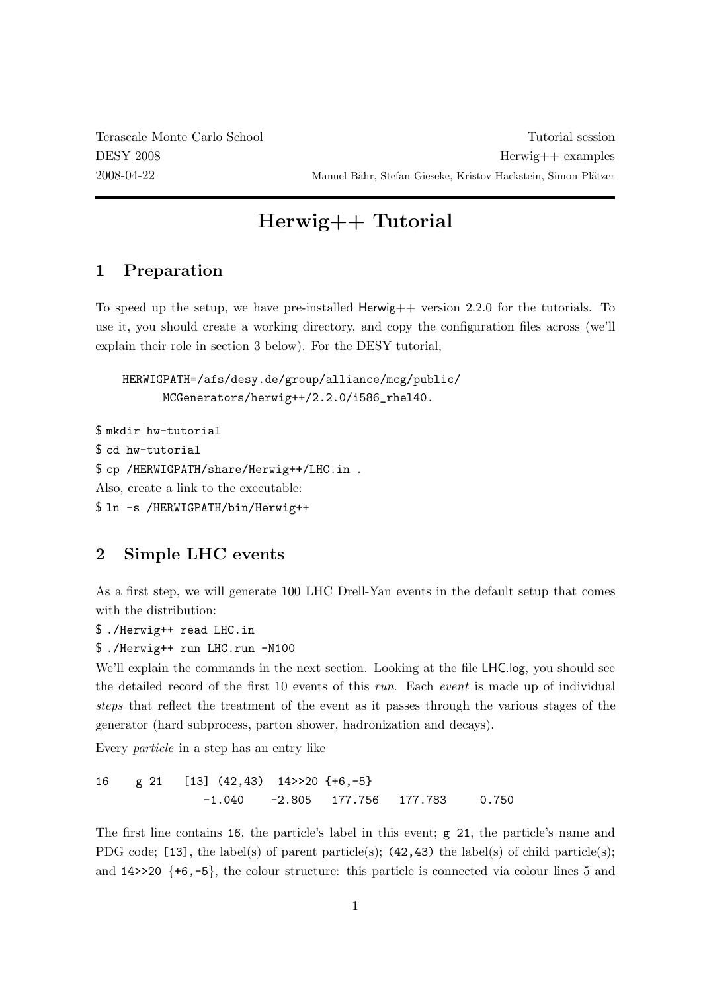Terascale Monte Carlo School Tutorial session DESY 2008 Herwig++ examples 2008-04-22 Manuel Bähr, Stefan Gieseke, Kristov Hackstein, Simon Plätzer

# Herwig++ Tutorial

## 1 Preparation

To speed up the setup, we have pre-installed Herwig++ version 2.2.0 for the tutorials. To use it, you should create a working directory, and copy the configuration files across (we'll explain their role in section 3 below). For the DESY tutorial,

HERWIGPATH=/afs/desy.de/group/alliance/mcg/public/ MCGenerators/herwig++/2.2.0/i586\_rhel40.

\$ mkdir hw-tutorial \$ cd hw-tutorial \$ cp /HERWIGPATH/share/Herwig++/LHC.in . Also, create a link to the executable: \$ ln -s /HERWIGPATH/bin/Herwig++

## 2 Simple LHC events

As a first step, we will generate 100 LHC Drell-Yan events in the default setup that comes with the distribution:

\$ ./Herwig++ read LHC.in

```
$ ./Herwig++ run LHC.run -N100
```
We'll explain the commands in the next section. Looking at the file LHC.log, you should see the detailed record of the first 10 events of this run. Each event is made up of individual steps that reflect the treatment of the event as it passes through the various stages of the generator (hard subprocess, parton shower, hadronization and decays).

Every particle in a step has an entry like

16 g 21 [13] (42,43) 14>>20 {+6,-5} -1.040 -2.805 177.756 177.783 0.750

The first line contains 16, the particle's label in this event; g 21, the particle's name and PDG code; [13], the label(s) of parent particle(s);  $(42, 43)$  the label(s) of child particle(s); and  $14\geq 20$  {+6,-5}, the colour structure: this particle is connected via colour lines 5 and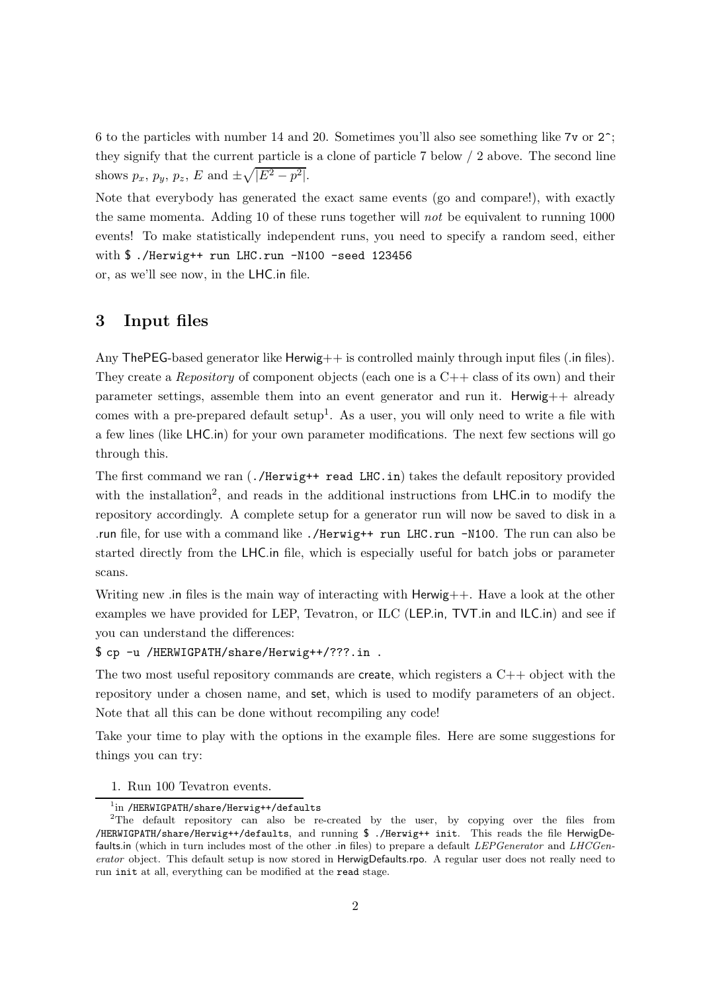6 to the particles with number 14 and 20. Sometimes you'll also see something like 7v or 2^; they signify that the current particle is a clone of particle 7 below / 2 above. The second line shows  $p_x$ ,  $p_y$ ,  $p_z$ ,  $E$  and  $\pm \sqrt{|E^2 - p^2|}$ .

Note that everybody has generated the exact same events (go and compare!), with exactly the same momenta. Adding 10 of these runs together will not be equivalent to running 1000 events! To make statistically independent runs, you need to specify a random seed, either with \$ ./Herwig++ run LHC.run -N100 -seed 123456 or, as we'll see now, in the LHC.in file.

## 3 Input files

Any The PEG-based generator like  $H$ erwig $++$  is controlled mainly through input files (.in files). They create a *Repository* of component objects (each one is a  $C++$  class of its own) and their parameter settings, assemble them into an event generator and run it. Herwig++ already comes with a pre-prepared default setup<sup>1</sup>. As a user, you will only need to write a file with a few lines (like LHC.in) for your own parameter modifications. The next few sections will go through this.

The first command we ran (./Herwig++ read LHC.in) takes the default repository provided with the installation<sup>2</sup>, and reads in the additional instructions from LHC.in to modify the repository accordingly. A complete setup for a generator run will now be saved to disk in a .run file, for use with a command like ./Herwig++ run LHC.run -N100. The run can also be started directly from the LHC.in file, which is especially useful for batch jobs or parameter scans.

Writing new .in files is the main way of interacting with Herwig++. Have a look at the other examples we have provided for LEP, Tevatron, or ILC (LEP.in, TVT.in and ILC.in) and see if you can understand the differences:

\$ cp -u /HERWIGPATH/share/Herwig++/???.in .

The two most useful repository commands are create, which registers a  $C_{++}$  object with the repository under a chosen name, and set, which is used to modify parameters of an object. Note that all this can be done without recompiling any code!

Take your time to play with the options in the example files. Here are some suggestions for things you can try:

1. Run 100 Tevatron events.

<sup>1</sup>in /HERWIGPATH/share/Herwig++/defaults

 $2^2$ The default repository can also be re-created by the user, by copying over the files from /HERWIGPATH/share/Herwig++/defaults, and running \$ ./Herwig++ init. This reads the file HerwigDefaults.in (which in turn includes most of the other .in files) to prepare a default LEPGenerator and LHCGenerator object. This default setup is now stored in HerwigDefaults.rpo. A regular user does not really need to run init at all, everything can be modified at the read stage.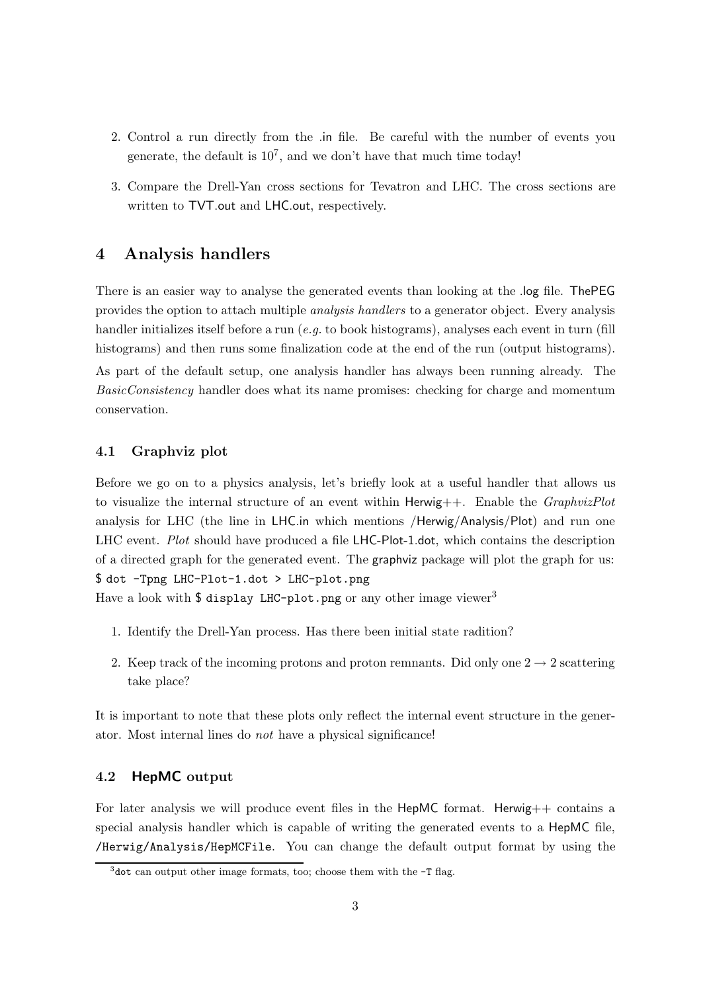- 2. Control a run directly from the .in file. Be careful with the number of events you generate, the default is  $10^7$ , and we don't have that much time today!
- 3. Compare the Drell-Yan cross sections for Tevatron and LHC. The cross sections are written to TVT.out and LHC.out, respectively.

## 4 Analysis handlers

There is an easier way to analyse the generated events than looking at the .log file. ThePEG provides the option to attach multiple analysis handlers to a generator object. Every analysis handler initializes itself before a run  $(e, q, t)$  book histograms), analyses each event in turn (fill histograms) and then runs some finalization code at the end of the run (output histograms). As part of the default setup, one analysis handler has always been running already. The

BasicConsistency handler does what its name promises: checking for charge and momentum conservation.

#### 4.1 Graphviz plot

Before we go on to a physics analysis, let's briefly look at a useful handler that allows us to visualize the internal structure of an event within Herwig $++$ . Enable the *GraphvizPlot* analysis for LHC (the line in LHC.in which mentions /Herwig/Analysis/Plot) and run one LHC event. Plot should have produced a file LHC-Plot-1.dot, which contains the description of a directed graph for the generated event. The graphviz package will plot the graph for us: \$ dot -Tpng LHC-Plot-1.dot > LHC-plot.png

Have a look with \$ display LHC-plot.png or any other image viewer<sup>3</sup>

- 1. Identify the Drell-Yan process. Has there been initial state radition?
- 2. Keep track of the incoming protons and proton remnants. Did only one  $2 \rightarrow 2$  scattering take place?

It is important to note that these plots only reflect the internal event structure in the generator. Most internal lines do not have a physical significance!

#### 4.2 HepMC output

For later analysis we will produce event files in the  $\text{HepMC}$  format. Herwig++ contains a special analysis handler which is capable of writing the generated events to a HepMC file, /Herwig/Analysis/HepMCFile. You can change the default output format by using the

 $3$ dot can output other image formats, too; choose them with the  $-T$  flag.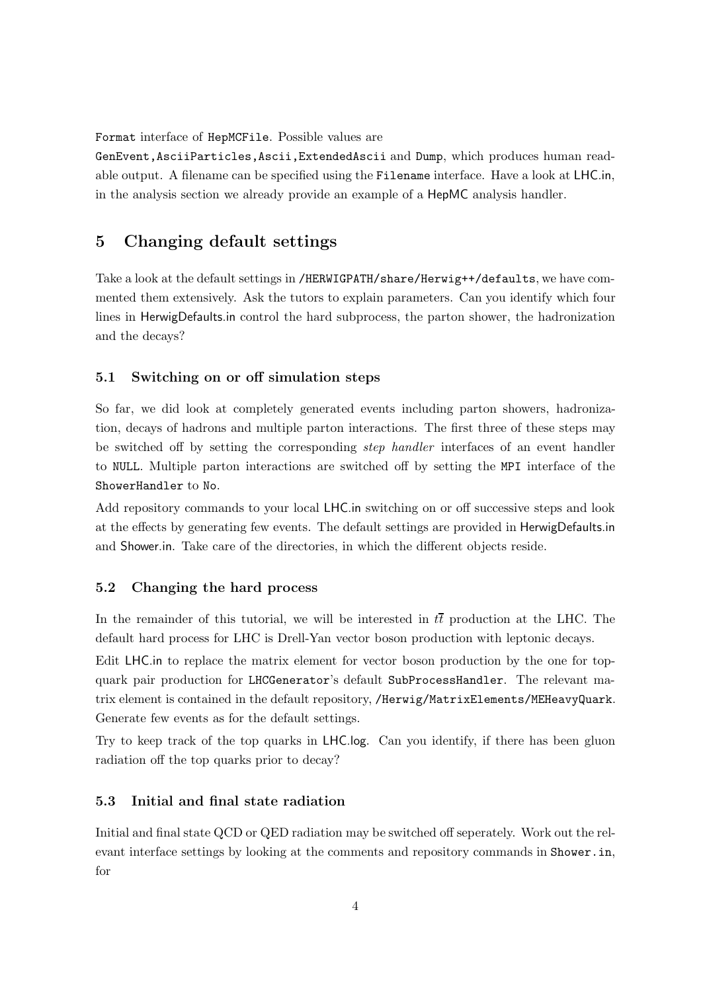Format interface of HepMCFile. Possible values are

GenEvent,AsciiParticles,Ascii,ExtendedAscii and Dump, which produces human readable output. A filename can be specified using the Filename interface. Have a look at LHC.in, in the analysis section we already provide an example of a HepMC analysis handler.

## 5 Changing default settings

Take a look at the default settings in /HERWIGPATH/share/Herwig++/defaults, we have commented them extensively. Ask the tutors to explain parameters. Can you identify which four lines in HerwigDefaults.in control the hard subprocess, the parton shower, the hadronization and the decays?

#### 5.1 Switching on or off simulation steps

So far, we did look at completely generated events including parton showers, hadronization, decays of hadrons and multiple parton interactions. The first three of these steps may be switched off by setting the corresponding step handler interfaces of an event handler to NULL. Multiple parton interactions are switched off by setting the MPI interface of the ShowerHandler to No.

Add repository commands to your local LHC.in switching on or off successive steps and look at the effects by generating few events. The default settings are provided in HerwigDefaults.in and Shower.in. Take care of the directories, in which the different objects reside.

#### 5.2 Changing the hard process

In the remainder of this tutorial, we will be interested in  $t\bar{t}$  production at the LHC. The default hard process for LHC is Drell-Yan vector boson production with leptonic decays.

Edit LHC.in to replace the matrix element for vector boson production by the one for topquark pair production for LHCGenerator's default SubProcessHandler. The relevant matrix element is contained in the default repository, /Herwig/MatrixElements/MEHeavyQuark. Generate few events as for the default settings.

Try to keep track of the top quarks in LHC.log. Can you identify, if there has been gluon radiation off the top quarks prior to decay?

### 5.3 Initial and final state radiation

Initial and final state QCD or QED radiation may be switched off seperately. Work out the relevant interface settings by looking at the comments and repository commands in Shower.in, for